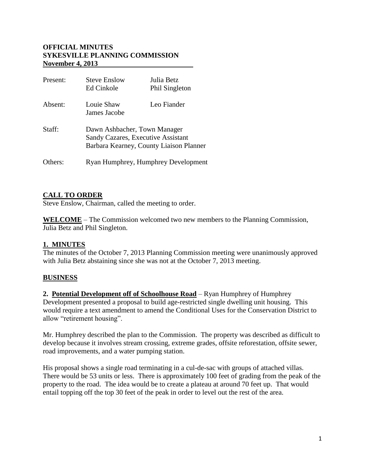#### **OFFICIAL MINUTES SYKESVILLE PLANNING COMMISSION November 4, 2013**

| Present: | <b>Steve Enslow</b><br>Ed Cinkole                                                                             | Julia Betz<br><b>Phil Singleton</b> |
|----------|---------------------------------------------------------------------------------------------------------------|-------------------------------------|
| Absent:  | Louie Shaw<br>James Jacobe                                                                                    | Leo Fiander                         |
| Staff:   | Dawn Ashbacher, Town Manager<br>Sandy Cazares, Executive Assistant<br>Barbara Kearney, County Liaison Planner |                                     |
| Others:  | Ryan Humphrey, Humphrey Development                                                                           |                                     |

### **CALL TO ORDER**

Steve Enslow, Chairman, called the meeting to order.

**WELCOME** – The Commission welcomed two new members to the Planning Commission, Julia Betz and Phil Singleton.

### **1. MINUTES**

The minutes of the October 7, 2013 Planning Commission meeting were unanimously approved with Julia Betz abstaining since she was not at the October 7, 2013 meeting.

### **BUSINESS**

**2. Potential Development off of Schoolhouse Road** – Ryan Humphrey of Humphrey Development presented a proposal to build age-restricted single dwelling unit housing. This would require a text amendment to amend the Conditional Uses for the Conservation District to allow "retirement housing".

Mr. Humphrey described the plan to the Commission. The property was described as difficult to develop because it involves stream crossing, extreme grades, offsite reforestation, offsite sewer, road improvements, and a water pumping station.

His proposal shows a single road terminating in a cul-de-sac with groups of attached villas. There would be 53 units or less. There is approximately 100 feet of grading from the peak of the property to the road. The idea would be to create a plateau at around 70 feet up. That would entail topping off the top 30 feet of the peak in order to level out the rest of the area.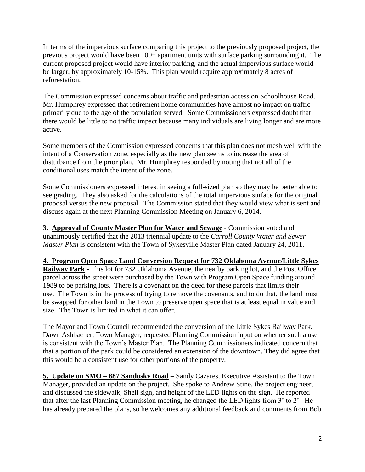In terms of the impervious surface comparing this project to the previously proposed project, the previous project would have been 100+ apartment units with surface parking surrounding it. The current proposed project would have interior parking, and the actual impervious surface would be larger, by approximately 10-15%. This plan would require approximately 8 acres of reforestation.

The Commission expressed concerns about traffic and pedestrian access on Schoolhouse Road. Mr. Humphrey expressed that retirement home communities have almost no impact on traffic primarily due to the age of the population served. Some Commissioners expressed doubt that there would be little to no traffic impact because many individuals are living longer and are more active.

Some members of the Commission expressed concerns that this plan does not mesh well with the intent of a Conservation zone, especially as the new plan seems to increase the area of disturbance from the prior plan. Mr. Humphrey responded by noting that not all of the conditional uses match the intent of the zone.

Some Commissioners expressed interest in seeing a full-sized plan so they may be better able to see grading. They also asked for the calculations of the total impervious surface for the original proposal versus the new proposal. The Commission stated that they would view what is sent and discuss again at the next Planning Commission Meeting on January 6, 2014.

**3. Approval of County Master Plan for Water and Sewage** - Commission voted and unanimously certified that the 2013 triennial update to the *Carroll County Water and Sewer Master Plan* is consistent with the Town of Sykesville Master Plan dated January 24, 2011.

# **4. Program Open Space Land Conversion Request for 732 Oklahoma Avenue/Little Sykes**

**Railway Park -** This lot for 732 Oklahoma Avenue, the nearby parking lot, and the Post Office parcel across the street were purchased by the Town with Program Open Space funding around 1989 to be parking lots. There is a covenant on the deed for these parcels that limits their use. The Town is in the process of trying to remove the covenants, and to do that, the land must be swapped for other land in the Town to preserve open space that is at least equal in value and size. The Town is limited in what it can offer.

The Mayor and Town Council recommended the conversion of the Little Sykes Railway Park. Dawn Ashbacher, Town Manager, requested Planning Commission input on whether such a use is consistent with the Town's Master Plan. The Planning Commissioners indicated concern that that a portion of the park could be considered an extension of the downtown. They did agree that this would be a consistent use for other portions of the property.

**5. Update on SMO – 887 Sandosky Road –** Sandy Cazares, Executive Assistant to the Town Manager, provided an update on the project. She spoke to Andrew Stine, the project engineer, and discussed the sidewalk, Shell sign, and height of the LED lights on the sign. He reported that after the last Planning Commission meeting, he changed the LED lights from 3' to 2'. He has already prepared the plans, so he welcomes any additional feedback and comments from Bob